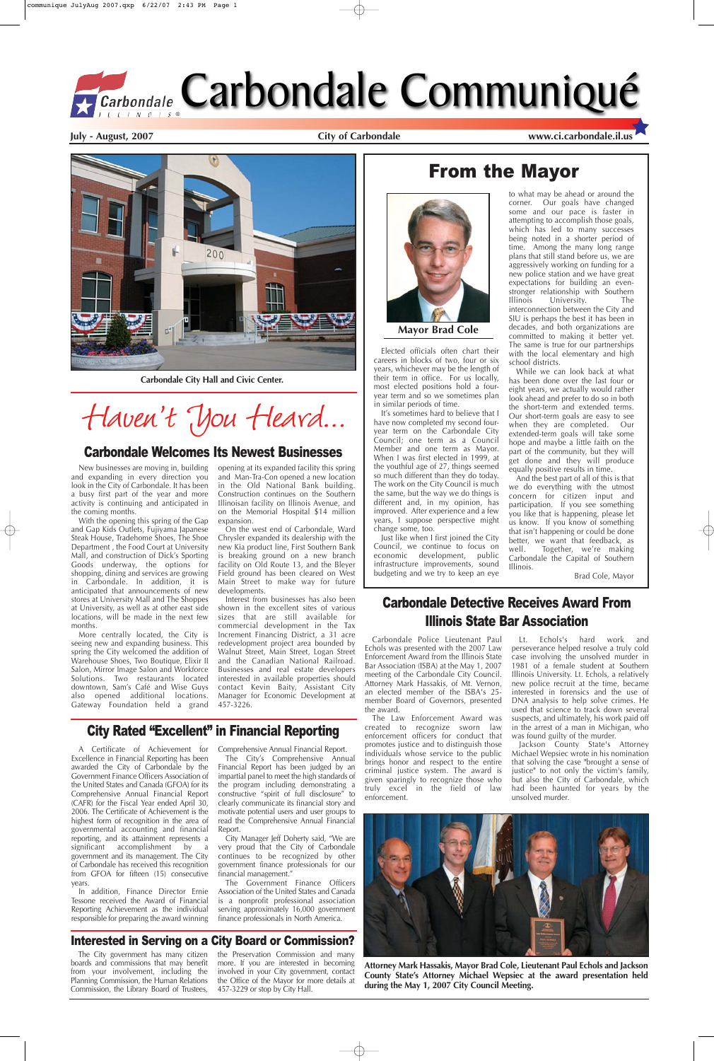### Carbondale Detective Receives Award From Illinois State Bar Association

**July - August, 2007 City of Carbondale www.ci.carbondale.il.us**

# From the Mayor





New businesses are moving in, building and expanding in every direction you look in the City of Carbondale. It has been a busy first part of the year and more activity is continuing and anticipated in the coming months.

With the opening this spring of the Gap and Gap Kids Outlets, Fujiyama Japanese Steak House, Tradehome Shoes, The Shoe Department , the Food Court at University Mall, and construction of Dick's Sporting Goods underway, the options for shopping, dining and services are growing in Carbondale. In addition, it is anticipated that announcements of new stores at University Mall and The Shoppes at University, as well as at other east side locations, will be made in the next few months.

More centrally located, the City is seeing new and expanding business. This spring the City welcomed the addition of Warehouse Shoes, Two Boutique, Elixir II Salon, Mirror Image Salon and Workforce Solutions. Two restaurants located downtown, Sam's Café and Wise Guys also opened additional locations. Gateway Foundation held a grand

opening at its expanded facility this spring and Man-Tra-Con opened a new location in the Old National Bank building. Construction continues on the Southern Illinoisan facility on Illinois Avenue, and on the Memorial Hospital \$14 million expansion.

On the west end of Carbondale, Ward Chrysler expanded its dealership with the new Kia product line, First Southern Bank is breaking ground on a new branch facility on Old Route 13, and the Bleyer Field ground has been cleared on West Main Street to make way for future developments.

Interest from businesses has also been shown in the excellent sites of various sizes that are still available for commercial development in the Tax Increment Financing District, a 31 acre redevelopment project area bounded by Walnut Street, Main Street, Logan Street and the Canadian National Railroad. Businesses and real estate developers interested in available properties should contact Kevin Baity, Assistant City Manager for Economic Development at 457-3226.

#### Carbondale Welcomes Its Newest Businesses

Elected officials often chart their careers in blocks of two, four or six years, whichever may be the length of their term in office. For us locally, most elected positions hold a fouryear term and so we sometimes plan in similar periods of time.

It's sometimes hard to believe that I have now completed my second fouryear term on the Carbondale City Council; one term as a Council Member and one term as Mayor. When I was first elected in 1999, at the youthful age of 27, things seemed so much different than they do today. The work on the City Council is much the same, but the way we do things is different and, in my opinion, has improved. After experience and a few years, I suppose perspective might change some, too.

Just like when I first joined the City Council, we continue to focus on economic development, public infrastructure improvements, sound budgeting and we try to keep an eye

to what may be ahead or around the corner. Our goals have changed some and our pace is faster in attempting to accomplish those goals, which has led to many successes being noted in a shorter period of time. Among the many long range plans that still stand before us, we are aggressively working on funding for a new police station and we have great expectations for building an evenstronger relationship with Southern Illinois University. The interconnection between the City and SIU is perhaps the best it has been in decades, and both organizations are committed to making it better yet. The same is true for our partnerships with the local elementary and high school districts.

While we can look back at what has been done over the last four or eight years, we actually would rather look ahead and prefer to do so in both the short-term and extended terms. Our short-term goals are easy to see when they are completed. Our extended-term goals will take some hope and maybe a little faith on the part of the community, but they will get done and they will produce equally positive results in time.

And the best part of all of this is that we do everything with the utmost concern for citizen input and participation. If you see something you like that is happening, please let us know. If you know of something that isn't happening or could be done better, we want that feedback, as well. Together, we're making Carbondale the Capital of Southern Illinois.

Brad Cole, Mayor

**Mayor Brad Cole**

**Attorney Mark Hassakis, Mayor Brad Cole, Lieutenant Paul Echols and Jackson County State's Attorney Michael Wepsiec at the award presentation held during the May 1, 2007 City Council Meeting.** 

Carbondale Police Lieutenant Paul Echols was presented with the 2007 Law Enforcement Award from the Illinois State Bar Association (ISBA) at the May 1, 2007 meeting of the Carbondale City Council. Attorney Mark Hassakis, of Mt. Vernon, an elected member of the ISBA's 25 member Board of Governors, presented the award.

The Law Enforcement Award was created to recognize sworn law enforcement officers for conduct that promotes justice and to distinguish those individuals whose service to the public brings honor and respect to the entire criminal justice system. The award is given sparingly to recognize those who truly excel in the field of law enforcement.

Lt. Echols's hard work and perseverance helped resolve a truly cold case involving the unsolved murder in 1981 of a female student at Southern Illinois University. Lt. Echols, a relatively new police recruit at the time, became interested in forensics and the use of DNA analysis to help solve crimes. He used that science to track down several suspects, and ultimately, his work paid off in the arrest of a man in Michigan, who was found guilty of the murder.

Jackson County State's Attorney Michael Wepsiec wrote in his nomination that solving the case "brought a sense of justice" to not only the victim's family, but also the City of Carbondale, which had been haunted for years by the unsolved murder.



### City Rated "Excellent" in Financial Reporting

A Certificate of Achievement for Excellence in Financial Reporting has been awarded the City of Carbondale by the Government Finance Officers Association of the United States and Canada (GFOA) for its Comprehensive Annual Financial Report (CAFR) for the Fiscal Year ended April 30, 2006. The Certificate of Achievement is the highest form of recognition in the area of governmental accounting and financial reporting, and its attainment represents a significant accomplishment by a government and its management. The City of Carbondale has received this recognition from GFOA for fifteen (15) consecutive years.

In addition, Finance Director Ernie Tessone received the Award of Financial Reporting Achievement as the individual responsible for preparing the award winning Comprehensive Annual Financial Report.

The City's Comprehensive Annual Financial Report has been judged by an impartial panel to meet the high standards of the program including demonstrating a constructive "spirit of full disclosure" to clearly communicate its financial story and motivate potential users and user groups to read the Comprehensive Annual Financial Report.

City Manager Jeff Doherty said, "We are very proud that the City of Carbondale continues to be recognized by other government finance professionals for our financial management."

The Government Finance Officers Association of the United States and Canada is a nonprofit professional association serving approximately 16,000 government finance professionals in North America.



**Carbondale City Hall and Civic Center.**

Haven't You Heard...

#### Interested in Serving on a City Board or Commission?

The City government has many citizen boards and commissions that may benefit from your involvement, including the Planning Commission, the Human Relations Commission, the Library Board of Trustees,

the Preservation Commission and many more. If you are interested in becoming involved in your City government, contact the Office of the Mayor for more details at 457-3229 or stop by City Hall.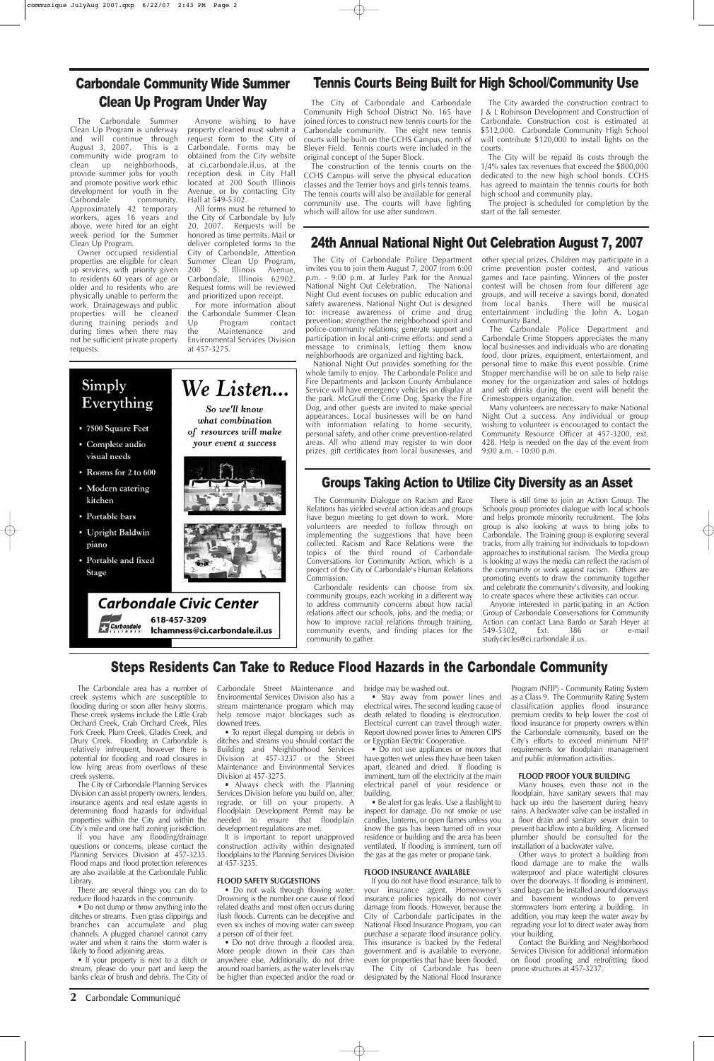The Carbondale Summer Clean Up Program is underway and will continue through August 3, 2007. This is a community wide program to clean up neighborhoods, provide summer jobs for youth and promote positive work ethic development for youth in the<br>Carbondale community. community. Approximately 42 temporary workers, ages 16 years and above, were hired for an eight week period for the Summer Clean Up Program.

Owner occupied residential properties are eligible for clean up services, with priority given to residents 60 years of age or older and to residents who are physically unable to perform the work. Drainageways and public properties will be cleaned during training periods and during times when there may not be sufficient private property requests.

Anyone wishing to have property cleaned must submit a request form to the City of Carbondale. Forms may be obtained from the City website at ci.carbondale.il.us, at the reception desk in City Hall located at 200 South Illinois Avenue, or by contacting City Hall at 549-5302.

All forms must be returned to the City of Carbondale by July 20, 2007. Requests will be honored as time permits. Mail or deliver completed forms to the City of Carbondale, Attention Summer Clean Up Program, 200 S. Illinois Avenue, Carbondale, Illinois 62902. Request forms will be reviewed and prioritized upon receipt.

For more information about the Carbondale Summer Clean<br>Up Program contact Program the Maintenance and Environmental Services Division at 457-3275.

# Carbondale Community Wide Summer Clean Up Program Under Way

**2** Carbondale Communiqué

### Groups Taking Action to Utilize City Diversity as an Asset

The Community Dialogue on Racism and Race Relations has yielded several action ideas and groups have begun meeting to get down to work. More volunteers are needed to follow through on implementing the suggestions that have been collected. Racism and Race Relations were the topics of the third round of Carbondale Conversations for Community Action, which is a project of the City of Carbondale's Human Relations



Carbondale residents can choose from six community groups, each working in a different way to address community concerns about how racial relations affect our schools, jobs, and the media; or how to improve racial relations through training, community events, and finding places for the community to gather.

There is still time to join an Action Group. The Schools group promotes dialogue with local schools and helps promote minority recruitment. The Jobs group is also looking at ways to bring jobs to Carbondale. The Training group is exploring several tracks, from ally training for individuals to top-down approaches to institutional racism. The Media group is looking at ways the media can reflect the racism of the community or work against racism. Others are promoting events to draw the community together and celebrate the community's diversity, and looking to create spaces where these activities can occur.

• Do not drive through a flooded area. More people drown in their cars than anywhere else. Additionally, do not drive around road barriers, as the water levels may be higher than expected and/or the road or

Anyone interested in participating in an Action Group of Carbondale Conversations for Community Action can contact Lana Bardo or Sarah Heyer at 549-5302, Ext. 386 or e-mail studycircles@ci.carbondale.il.us.

## Steps Residents Can Take to Reduce Flood Hazards in the Carbondale Community

The Carbondale area has a number of creek systems which are susceptible to flooding during or soon after heavy storms. These creek systems include the Little Crab Orchard Creek, Crab Orchard Creek, Piles Fork Creek, Plum Creek, Glades Creek, and Drury Creek. Flooding in Carbondale is relatively infrequent, however there is potential for flooding and road closures in low lying areas from overflows of these creek systems. The City of Carbondale Planning Services Division can assist property owners, lenders, insurance agents and real estate agents in determining flood hazards for individual properties within the City and within the City's mile and one half zoning jurisdiction. If you have any flooding/drainage questions or concerns, please contact the Planning Services Division at 457-3235. Flood maps and flood protection references are also available at the Carbondale Public Library.

There are several things you can do to reduce flood hazards in the community.

• Do not dump or throw anything into the ditches or streams. Even grass clippings and branches can accumulate and plug channels. A plugged channel cannot carry water and when it rains the storm water is likely to flood adjoining areas.

• If your property is next to a ditch or stream, please do your part and keep the banks clear of brush and debris. The City of

The City awarded the construction contract to J & L Robinson Development and Construction of Carbondale. Construction cost is estimated at \$512,000. Carbondale Community High School will contribute \$120,000 to install lights on the courts.

Carbondale Street Maintenance and Environmental Services Division also has a stream maintenance program which may help remove major blockages such as downed trees.

• To report illegal dumping or debris in ditches and streams you should contact the Building and Neighborhood Services Division at 457-3237 or the Street Maintenance and Environmental Services Division at 457-3275. • Always check with the Planning Services Division before you build on, alter, regrade, or fill on your property. A Floodplain Development Permit may be needed to ensure that floodplain development regulations are met.

It is important to report unapproved construction activity within designated floodplains to the Planning Services Division at 457-3235.

#### **FLOOD SAFETY SUGGESTIONS**

• Do not walk through flowing water. Drowning is the number one cause of flood related deaths and most often occurs during flash floods. Currents can be deceptive and even six inches of moving water can sweep a person off of their feet.

bridge may be washed out.

• Stay away from power lines and electrical wires. The second leading cause of death related to flooding is electrocution. Electrical current can travel through water. Report downed power lines to Ameren CIPS or Egyptian Electric Cooperative.

• Do not use appliances or motors that have gotten wet unless they have been taken apart, cleaned and dried. If flooding is imminent, turn off the electricity at the main electrical panel of your residence or building.

• Be alert for gas leaks. Use a flashlight to inspect for damage. Do not smoke or use candles, lanterns, or open flames unless you know the gas has been turned off in your residence or building and the area has been ventilated. If flooding is imminent, turn off the gas at the gas meter or propane tank.

#### **FLOOD INSURANCE AVAILABLE**

If you do not have flood insurance, talk to your insurance agent. Homeowner's insurance policies typically do not cover damage from floods. However, because the City of Carbondale participates in the National Flood Insurance Program, you can purchase a separate flood insurance policy. This insurance is backed by the Federal government and is available to everyone, even for properties that have been flooded. The City of Carbondale has been designated by the National Flood Insurance

Program (NFIP) - Community Rating System as a Class 9. The Community Rating System classification applies flood insurance premium credits to help lower the cost of flood insurance for property owners within the Carbondale community, based on the City's efforts to exceed minimum NFIP requirements for floodplain management and public information activities.

# Simply Everything

- 7500 Square Feet
- Complete audio visual needs
- Rooms for 2 to 600
- Modern catering kitchen
- Portable bars
- Upright Baldwin piano
- Portable and fixed **Stage**

#### **FLOOD PROOF YOUR BUILDING**

Many houses, even those not in the floodplain, have sanitary sewers that may back up into the basement during heavy rains. A backwater valve can be installed in a floor drain and sanitary sewer drain to prevent backflow into a building. A licensed plumber should be consulted for the installation of a backwater valve.

Other ways to protect a building from flood damage are to make the walls waterproof and place watertight closures over the doorways. If flooding is imminent, sand bags can be installed around doorways and basement windows to prevent stormwaters from entering a building. In addition, you may keep the water away by regrading your lot to direct water away from your building.

Contact the Building and Neighborhood Services Division for additional information on flood proofing and retrofitting flood prone structures at 457-3237.

### Tennis Courts Being Built for High School/Community Use

The City of Carbondale and Carbondale Community High School District No. 165 have joined forces to construct new tennis courts for the Carbondale community. The eight new tennis courts will be built on the CCHS Campus, north of Bleyer Field. Tennis courts were included in the original concept of the Super Block.

The construction of the tennis courts on the CCHS Campus will serve the physical education classes and the Terrier boys and girls tennis teams. The tennis courts will also be available for general community use. The courts will have lighting which will allow for use after sundown.

The City will be repaid its costs through the 1/4% sales tax revenues that exceed the \$800,000 dedicated to the new high school bonds. CCHS has agreed to maintain the tennis courts for both high school and community play.

The project is scheduled for completion by the start of the fall semester.

### 24th Annual National Night Out Celebration August 7, 2007

The City of Carbondale Police Department invites you to join them August 7, 2007 from 6:00 p.m. - 9:00 p.m. at Turley Park for the Annual National Night Out Celebration. The National Night Out event focuses on public education and safety awareness. National Night Out is designed to: increase awareness of crime and drug prevention; strengthen the neighborhood spirit and police-community relations; generate support and participation in local anti-crime efforts; and send a message to criminals, letting them know neighborhoods are organized and fighting back.

National Night Out provides something for the whole family to enjoy. The Carbondale Police and Fire Departments and Jackson County Ambulance Service will have emergency vehicles on display at the park. McGruff the Crime Dog, Sparky the Fire Dog, and other guests are invited to make special appearances. Local businesses will be on hand with information relating to home security, personal safety, and other crime prevention-related areas. All who attend may register to win door prizes, gift certificates from local businesses, and other special prizes. Children may participate in a crime prevention poster contest, and various games and face painting. Winners of the poster contest will be chosen from four different age groups, and will receive a savings bond, donated from local banks. There will be musical entertainment including the John A. Logan Community Band.

The Carbondale Police Department and Carbondale Crime Stoppers appreciates the many local businesses and individuals who are donating food, door prizes, equipment, entertainment, and personal time to make this event possible. Crime Stopper merchandise will be on sale to help raise money for the organization and sales of hotdogs and soft drinks during the event will benefit the Crimestoppers organization.

Many volunteers are necessary to make National Night Out a success. Any individual or group wishing to volunteer is encouraged to contact the Community Resource Officer at 457-3200, ext. 428. Help is needed on the day of the event from 9:00 a.m. - 10:00 p.m.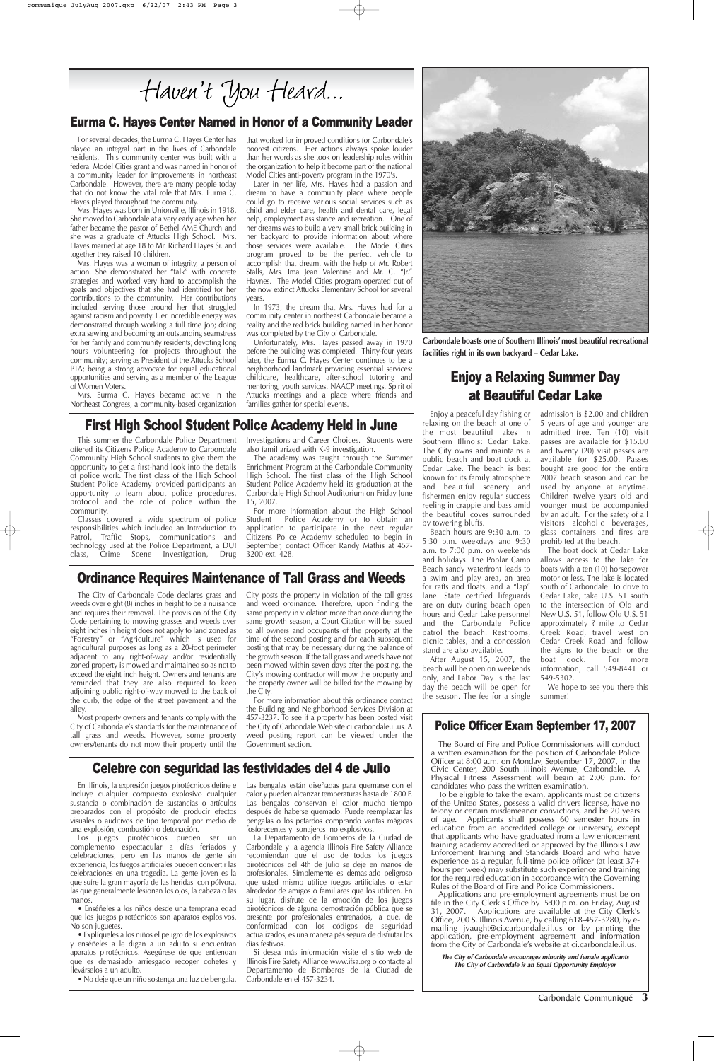Enjoy a peaceful day fishing or relaxing on the beach at one of the most beautiful lakes in Southern Illinois: Cedar Lake. The City owns and maintains a public beach and boat dock at Cedar Lake. The beach is best known for its family atmosphere and beautiful scenery and fishermen enjoy regular success reeling in crappie and bass amid the beautiful coves surrounded by towering bluffs.

Beach hours are 9:30 a.m. to 5:30 p.m. weekdays and 9:30 a.m. to 7:00 p.m. on weekends and holidays. The Poplar Camp Beach sandy waterfront leads to a swim and play area, an area for rafts and floats, and a "lap" lane. State certified lifeguards are on duty during beach open hours and Cedar Lake personnel and the Carbondale Police patrol the beach. Restrooms, picnic tables, and a concession stand are also available.

After August 15, 2007, the beach will be open on weekends only, and Labor Day is the last day the beach will be open for the season. The fee for a single admission is \$2.00 and children 5 years of age and younger are admitted free. Ten (10) visit passes are available for \$15.00 and twenty (20) visit passes are available for \$25.00. Passes bought are good for the entire 2007 beach season and can be used by anyone at anytime. Children twelve years old and younger must be accompanied by an adult. For the safety of all visitors alcoholic beverages, glass containers and fires are prohibited at the beach.

The boat dock at Cedar Lake allows access to the lake for boats with a ten (10) horsepower motor or less. The lake is located south of Carbondale. To drive to Cedar Lake, take U.S. 51 south to the intersection of Old and New U.S. 51, follow Old U.S. 51 approximately ? mile to Cedar Creek Road, travel west on Cedar Creek Road and follow the signs to the beach or the boat dock. For more information, call 549-8441 or 549-5302.

We hope to see you there this summer!

### First High School Student Police Academy Held in June

# Enjoy a Relaxing Summer Day at Beautiful Cedar Lake

This summer the Carbondale Police Department offered its Citizens Police Academy to Carbondale Community High School students to give them the opportunity to get a first-hand look into the details of police work. The first class of the High School Student Police Academy provided participants an opportunity to learn about police procedures, protocol and the role of police within the community.

Classes covered a wide spectrum of police responsibilities which included an Introduction to Patrol, Traffic Stops, communications and technology used at the Police Department, a DUI class, Crime Scene Investigation, Drug

Investigations and Career Choices. Students were also familiarized with K-9 investigation.

The academy was taught through the Summer Enrichment Program at the Carbondale Community High School. The first class of the High School Student Police Academy held its graduation at the Carbondale High School Auditorium on Friday June 15, 2007.

For more information about the High School Student Police Academy or to obtain an application to participate in the next regular Citizens Police Academy scheduled to begin in September, contact Officer Randy Mathis at 457- 3200 ext. 428.

### Celebre con seguridad las festividades del 4 de Julio

#### Ordinance Requires Maintenance of Tall Grass and Weeds

The City of Carbondale Code declares grass and weeds over eight (8) inches in height to be a nuisance and requires their removal. The provision of the City Code pertaining to mowing grasses and weeds over eight inches in height does not apply to land zoned as "Forestry" or "Agriculture" which is used for agricultural purposes as long as a 20-foot perimeter adjacent to any right-of-way and/or residentially zoned property is mowed and maintained so as not to exceed the eight inch height. Owners and tenants are reminded that they are also required to keep adjoining public right-of-way mowed to the back of

the curb, the edge of the street pavement and the alley. Most property owners and tenants comply with the City of Carbondale's standards for the maintenance of tall grass and weeds. However, some property owners/tenants do not mow their property until the Government section. For more information about this ordinance contact the Building and Neighborhood Services Division at 457-3237. To see if a property has been posted visit the City of Carbondale Web site ci.carbondale.il.us. A weed posting report can be viewed under the

City posts the property in violation of the tall grass and weed ordinance. Therefore, upon finding the same property in violation more than once during the same growth season, a Court Citation will be issued to all owners and occupants of the property at the time of the second posting and for each subsequent posting that may be necessary during the balance of the growth season. If the tall grass and weeds have not been mowed within seven days after the posting, the City's mowing contractor will mow the property and the property owner will be billed for the mowing by the City.

Carbondale Communiqué **3**

# Police Officer Exam September 17, 2007

The Board of Fire and Police Commissioners will conduct a written examination for the position of Carbondale Police Officer at 8:00 a.m. on Monday, September 17, 2007, in the Civic Center, 200 South Illinois Avenue, Carbondale. A Physical Fitness Assessment will begin at 2:00 p.m. for candidates who pass the written examination. To be eligible to take the exam, applicants must be citizens of the United States, possess a valid drivers license, have no felony or certain misdemeanor convictions, and be 20 years of age. Applicants shall possess 60 semester hours in education from an accredited college or university, except that applicants who have graduated from a law enforcement training academy accredited or approved by the Illinois Law Enforcement Training and Standards Board and who have experience as a regular, full-time police officer (at least 37+ hours per week) may substitute such experience and training for the required education in accordance with the Governing Rules of the Board of Fire and Police Commissioners. Applications and pre-employment agreements must be on file in the City Clerk's Office by 5:00 p.m. on Friday, August 31, 2007. Applications are available at the City Clerk's Applications are available at the City Clerk's Office, 200 S. Illinois Avenue, by calling 618-457-3280, by emailing jvaught@ci.carbondale.il.us or by printing the application, pre-employment agreement and information from the City of Carbondale's website at ci.carbondale.il.us.

**The City of Carbondale encourages minority and female applicants The City of Carbondale is an Equal Opportunity Employer**



**Carbondale boasts one of Southern Illinois' most beautiful recreational facilities right in its own backyard – Cedar Lake.** 

En Illinois, la expresión juegos pirotécnicos define e incluye cualquier compuesto explosivo cualquier sustancia o combinación de sustancias o artículos preparados con el propósito de producir efectos visuales o auditivos de tipo temporal por medio de una explosión, combustión o detonación.

Los juegos pirotécnicos pueden ser un complemento espectacular a días feriados y celebraciones, pero en las manos de gente sin experiencia, los fuegos artificiales pueden convertir las celebraciones en una tragedia. La gente joven es la que sufre la gran mayoría de las heridas con pólvora, las que generalmente lesionan los ojos, la cabeza o las manos.

• Enséñeles a los niños desde una temprana edad que los juegos pirotécnicos son aparatos explosivos. No son juguetes.

• Explíqueles a los niños el peligro de los explosivos y enséñeles a le digan a un adulto si encuentran aparatos pirotécnicos. Asegúrese de que entiendan que es demasiado arriesgado recoger cohetes y llevárselos a un adulto.

• No deje que un niño sostenga una luz de bengala.

Las bengalas están diseñadas para quemarse con el calor y pueden alcanzar temperaturas hasta de 1800 F. Las bengalas conservan el calor mucho tiempo después de haberse quemado. Puede reemplazar las bengalas o los petardos comprando varitas mágicas fosforecentes y sonajeros no explosivos.

La Departamento de Bomberos de la Ciudad de Carbondale y la agencia Illinois Fire Safety Alliance recomiendan que el uso de todos los juegos pirotécnicos del 4th de Julio se deje en manos de profesionales. Simplemente es demasiado peligroso que usted mismo utilice fuegos artificiales o estar alrededor de amigos o familiares que los utilicen. En su lugar, disfrute de la emoción de los juegos pirotécnicos de alguna demostración pública que se presente por profesionales entrenados, la que, de conformidad con los códigos de seguridad actualizados, es una manera pás segura de disfrutar los días festivos.

Si desea más información visite el sitio web de Illinois Fire Safety Alliance www.ifsa.org o contacte al Departamento de Bomberos de la Ciudad de Carbondale en el 457-3234.

#### Eurma C. Hayes Center Named in Honor of a Community Leader

For several decades, the Eurma C. Hayes Center has played an integral part in the lives of Carbondale residents. This community center was built with a federal Model Cities grant and was named in honor of a community leader for improvements in northeast Carbondale. However, there are many people today that do not know the vital role that Mrs. Eurma C. Hayes played throughout the community.

Mrs. Hayes was born in Unionville, Illinois in 1918. She moved to Carbondale at a very early age when her father became the pastor of Bethel AME Church and she was a graduate of Attucks High School. Mrs. Hayes married at age 18 to Mr. Richard Hayes Sr. and together they raised 10 children.

Mrs. Hayes was a woman of integrity, a person of action. She demonstrated her "talk" with concrete strategies and worked very hard to accomplish the goals and objectives that she had identified for her contributions to the community. Her contributions included serving those around her that struggled against racism and poverty. Her incredible energy was demonstrated through working a full time job; doing extra sewing and becoming an outstanding seamstress for her family and community residents; devoting long hours volunteering for projects throughout the community; serving as President of the Attucks School PTA; being a strong advocate for equal educational opportunities and serving as a member of the League of Women Voters.

Mrs. Eurma C. Hayes became active in the Northeast Congress, a community-based organization that worked for improved conditions for Carbondale's poorest citizens. Her actions always spoke louder than her words as she took on leadership roles within the organization to help it become part of the national Model Cities anti-poverty program in the 1970's.

Later in her life, Mrs. Hayes had a passion and dream to have a community place where people could go to receive various social services such as child and elder care, health and dental care, legal help, employment assistance and recreation. One of her dreams was to build a very small brick building in her backyard to provide information about where those services were available. The Model Cities program proved to be the perfect vehicle to accomplish that dream, with the help of Mr. Robert Stalls, Mrs. Ima Jean Valentine and Mr. C. "Jr." Haynes. The Model Cities program operated out of the now extinct Attucks Elementary School for several years.

In 1973, the dream that Mrs. Hayes had for a community center in northeast Carbondale became a reality and the red brick building named in her honor was completed by the City of Carbondale.

Unfortunately, Mrs. Hayes passed away in 1970 before the building was completed. Thirty-four years later, the Eurma C. Hayes Center continues to be a neighborhood landmark providing essential services: childcare, healthcare, after-school tutoring and mentoring, youth services, NAACP meetings, Spirit of Attucks meetings and a place where friends and families gather for special events.

Haven't You Heard...